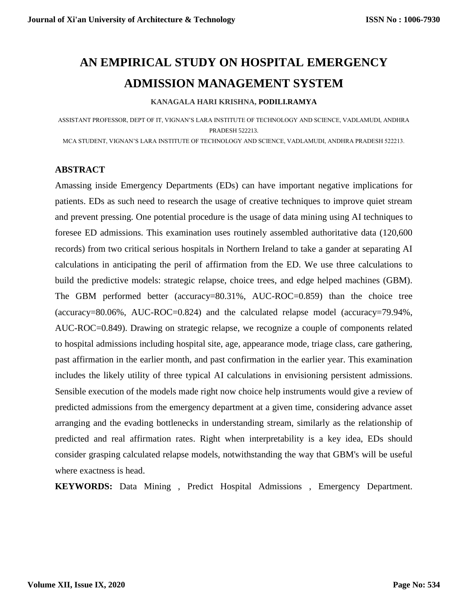# **AN EMPIRICAL STUDY ON HOSPITAL EMERGENCY ADMISSION MANAGEMENT SYSTEM**

#### **KANAGALA HARI KRISHNA, PODILI.RAMYA**

ASSISTANT PROFESSOR, DEPT OF IT, VIGNAN'S LARA INSTITUTE OF TECHNOLOGY AND SCIENCE, VADLAMUDI, ANDHRA PRADESH 522213.

MCA STUDENT, VIGNAN'S LARA INSTITUTE OF TECHNOLOGY AND SCIENCE, VADLAMUDI, ANDHRA PRADESH 522213.

#### **ABSTRACT**

Amassing inside Emergency Departments (EDs) can have important negative implications for patients. EDs as such need to research the usage of creative techniques to improve quiet stream and prevent pressing. One potential procedure is the usage of data mining using AI techniques to foresee ED admissions. This examination uses routinely assembled authoritative data (120,600 records) from two critical serious hospitals in Northern Ireland to take a gander at separating AI calculations in anticipating the peril of affirmation from the ED. We use three calculations to build the predictive models: strategic relapse, choice trees, and edge helped machines (GBM). The GBM performed better (accuracy=80.31%, AUC-ROC=0.859) than the choice tree (accuracy=80.06%, AUC-ROC=0.824) and the calculated relapse model (accuracy=79.94%, AUC-ROC=0.849). Drawing on strategic relapse, we recognize a couple of components related to hospital admissions including hospital site, age, appearance mode, triage class, care gathering, past affirmation in the earlier month, and past confirmation in the earlier year. This examination includes the likely utility of three typical AI calculations in envisioning persistent admissions. Sensible execution of the models made right now choice help instruments would give a review of predicted admissions from the emergency department at a given time, considering advance asset arranging and the evading bottlenecks in understanding stream, similarly as the relationship of predicted and real affirmation rates. Right when interpretability is a key idea, EDs should consider grasping calculated relapse models, notwithstanding the way that GBM's will be useful where exactness is head.

**KEYWORDS:** Data Mining , Predict Hospital Admissions , Emergency Department.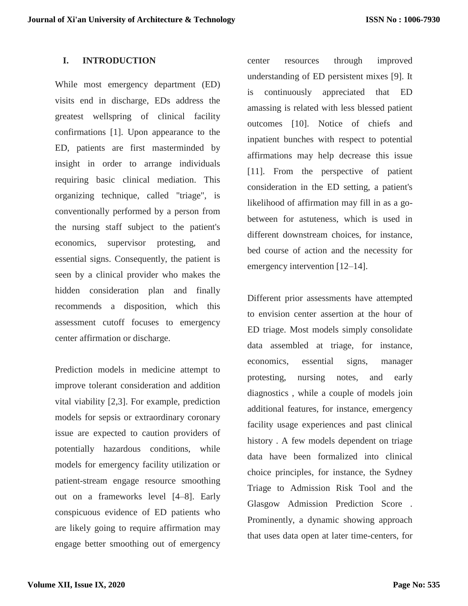### **I. INTRODUCTION**

While most emergency department (ED) visits end in discharge, EDs address the greatest wellspring of clinical facility confirmations [1]. Upon appearance to the ED, patients are first masterminded by insight in order to arrange individuals requiring basic clinical mediation. This organizing technique, called "triage", is conventionally performed by a person from the nursing staff subject to the patient's economics, supervisor protesting, and essential signs. Consequently, the patient is seen by a clinical provider who makes the hidden consideration plan and finally recommends a disposition, which this assessment cutoff focuses to emergency center affirmation or discharge.

Prediction models in medicine attempt to improve tolerant consideration and addition vital viability [2,3]. For example, prediction models for sepsis or extraordinary coronary issue are expected to caution providers of potentially hazardous conditions, while models for emergency facility utilization or patient-stream engage resource smoothing out on a frameworks level [4–8]. Early conspicuous evidence of ED patients who are likely going to require affirmation may engage better smoothing out of emergency

center resources through improved understanding of ED persistent mixes [9]. It is continuously appreciated that ED amassing is related with less blessed patient outcomes [10]. Notice of chiefs and inpatient bunches with respect to potential affirmations may help decrease this issue [11]. From the perspective of patient consideration in the ED setting, a patient's likelihood of affirmation may fill in as a gobetween for astuteness, which is used in different downstream choices, for instance, bed course of action and the necessity for emergency intervention [12–14].

Different prior assessments have attempted to envision center assertion at the hour of ED triage. Most models simply consolidate data assembled at triage, for instance, economics, essential signs, manager protesting, nursing notes, and early diagnostics , while a couple of models join additional features, for instance, emergency facility usage experiences and past clinical history . A few models dependent on triage data have been formalized into clinical choice principles, for instance, the Sydney Triage to Admission Risk Tool and the Glasgow Admission Prediction Score . Prominently, a dynamic showing approach that uses data open at later time-centers, for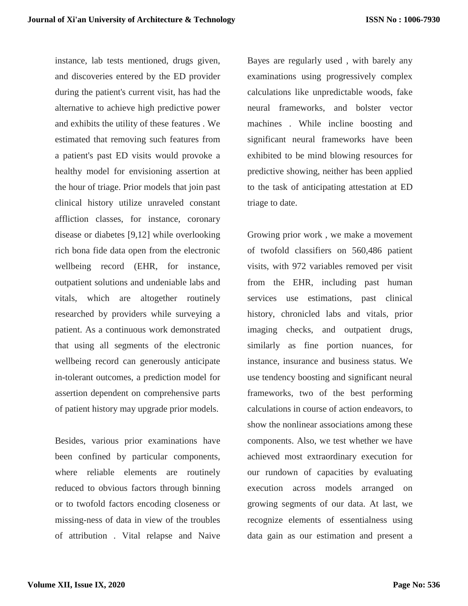instance, lab tests mentioned, drugs given, and discoveries entered by the ED provider during the patient's current visit, has had the alternative to achieve high predictive power and exhibits the utility of these features . We estimated that removing such features from a patient's past ED visits would provoke a healthy model for envisioning assertion at the hour of triage. Prior models that join past clinical history utilize unraveled constant affliction classes, for instance, coronary disease or diabetes [9,12] while overlooking rich bona fide data open from the electronic wellbeing record (EHR, for instance, outpatient solutions and undeniable labs and vitals, which are altogether routinely researched by providers while surveying a patient. As a continuous work demonstrated that using all segments of the electronic wellbeing record can generously anticipate in-tolerant outcomes, a prediction model for assertion dependent on comprehensive parts of patient history may upgrade prior models.

Besides, various prior examinations have been confined by particular components, where reliable elements are routinely reduced to obvious factors through binning or to twofold factors encoding closeness or missing-ness of data in view of the troubles of attribution . Vital relapse and Naive

Bayes are regularly used , with barely any examinations using progressively complex calculations like unpredictable woods, fake neural frameworks, and bolster vector machines . While incline boosting and significant neural frameworks have been exhibited to be mind blowing resources for predictive showing, neither has been applied to the task of anticipating attestation at ED triage to date.

Growing prior work , we make a movement of twofold classifiers on 560,486 patient visits, with 972 variables removed per visit from the EHR, including past human services use estimations, past clinical history, chronicled labs and vitals, prior imaging checks, and outpatient drugs, similarly as fine portion nuances, for instance, insurance and business status. We use tendency boosting and significant neural frameworks, two of the best performing calculations in course of action endeavors, to show the nonlinear associations among these components. Also, we test whether we have achieved most extraordinary execution for our rundown of capacities by evaluating execution across models arranged on growing segments of our data. At last, we recognize elements of essentialness using data gain as our estimation and present a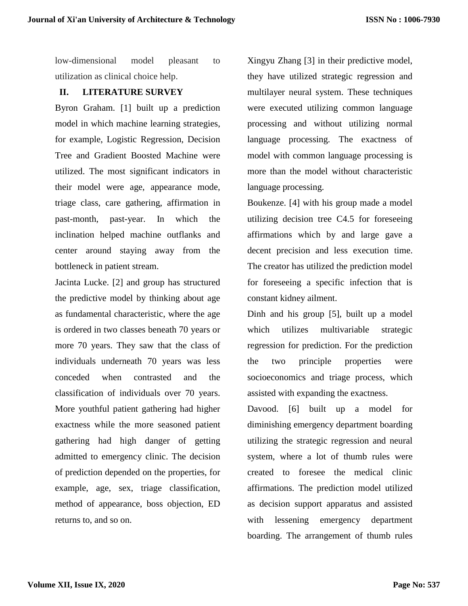low-dimensional model pleasant to utilization as clinical choice help.

## **II. LITERATURE SURVEY**

Byron Graham. [1] built up a prediction model in which machine learning strategies, for example, Logistic Regression, Decision Tree and Gradient Boosted Machine were utilized. The most significant indicators in their model were age, appearance mode, triage class, care gathering, affirmation in past-month, past-year. In which the inclination helped machine outflanks and center around staying away from the bottleneck in patient stream.

Jacinta Lucke. [2] and group has structured the predictive model by thinking about age as fundamental characteristic, where the age is ordered in two classes beneath 70 years or more 70 years. They saw that the class of individuals underneath 70 years was less conceded when contrasted and the classification of individuals over 70 years. More youthful patient gathering had higher exactness while the more seasoned patient gathering had high danger of getting admitted to emergency clinic. The decision of prediction depended on the properties, for example, age, sex, triage classification, method of appearance, boss objection, ED returns to, and so on.

Xingyu Zhang [3] in their predictive model, they have utilized strategic regression and multilayer neural system. These techniques were executed utilizing common language processing and without utilizing normal language processing. The exactness of model with common language processing is more than the model without characteristic language processing.

Boukenze. [4] with his group made a model utilizing decision tree C4.5 for foreseeing affirmations which by and large gave a decent precision and less execution time. The creator has utilized the prediction model for foreseeing a specific infection that is constant kidney ailment.

Dinh and his group [5], built up a model which utilizes multivariable strategic regression for prediction. For the prediction the two principle properties were socioeconomics and triage process, which assisted with expanding the exactness.

Davood. [6] built up a model for diminishing emergency department boarding utilizing the strategic regression and neural system, where a lot of thumb rules were created to foresee the medical clinic affirmations. The prediction model utilized as decision support apparatus and assisted with lessening emergency department boarding. The arrangement of thumb rules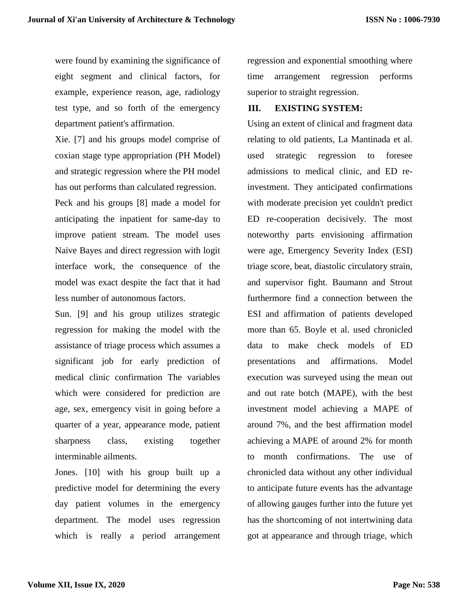were found by examining the significance of eight segment and clinical factors, for example, experience reason, age, radiology test type, and so forth of the emergency department patient's affirmation.

Xie. [7] and his groups model comprise of coxian stage type appropriation (PH Model) and strategic regression where the PH model has out performs than calculated regression. Peck and his groups [8] made a model for anticipating the inpatient for same-day to improve patient stream. The model uses Naive Bayes and direct regression with logit interface work, the consequence of the model was exact despite the fact that it had less number of autonomous factors.

Sun. [9] and his group utilizes strategic regression for making the model with the assistance of triage process which assumes a significant job for early prediction of medical clinic confirmation The variables which were considered for prediction are age, sex, emergency visit in going before a quarter of a year, appearance mode, patient sharpness class, existing together interminable ailments.

Jones. [10] with his group built up a predictive model for determining the every day patient volumes in the emergency department. The model uses regression which is really a period arrangement regression and exponential smoothing where time arrangement regression performs superior to straight regression.

#### **III. EXISTING SYSTEM:**

Using an extent of clinical and fragment data relating to old patients, La Mantinada et al. used strategic regression to foresee admissions to medical clinic, and ED reinvestment. They anticipated confirmations with moderate precision yet couldn't predict ED re-cooperation decisively. The most noteworthy parts envisioning affirmation were age, Emergency Severity Index (ESI) triage score, beat, diastolic circulatory strain, and supervisor fight. Baumann and Strout furthermore find a connection between the ESI and affirmation of patients developed more than 65. Boyle et al. used chronicled data to make check models of ED presentations and affirmations. Model execution was surveyed using the mean out and out rate botch (MAPE), with the best investment model achieving a MAPE of around 7%, and the best affirmation model achieving a MAPE of around 2% for month to month confirmations. The use of chronicled data without any other individual to anticipate future events has the advantage of allowing gauges further into the future yet has the shortcoming of not intertwining data got at appearance and through triage, which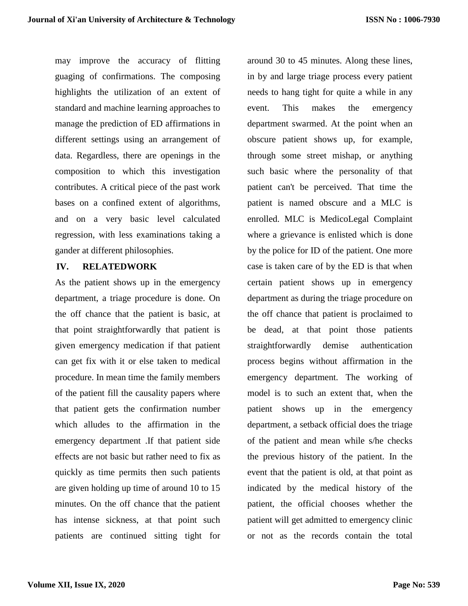may improve the accuracy of flitting guaging of confirmations. The composing highlights the utilization of an extent of standard and machine learning approaches to manage the prediction of ED affirmations in different settings using an arrangement of data. Regardless, there are openings in the composition to which this investigation contributes. A critical piece of the past work bases on a confined extent of algorithms, and on a very basic level calculated regression, with less examinations taking a gander at different philosophies.

### **IV. RELATEDWORK**

As the patient shows up in the emergency department, a triage procedure is done. On the off chance that the patient is basic, at that point straightforwardly that patient is given emergency medication if that patient can get fix with it or else taken to medical procedure. In mean time the family members of the patient fill the causality papers where that patient gets the confirmation number which alludes to the affirmation in the emergency department .If that patient side effects are not basic but rather need to fix as quickly as time permits then such patients are given holding up time of around 10 to 15 minutes. On the off chance that the patient has intense sickness, at that point such patients are continued sitting tight for

around 30 to 45 minutes. Along these lines, in by and large triage process every patient needs to hang tight for quite a while in any event. This makes the emergency department swarmed. At the point when an obscure patient shows up, for example, through some street mishap, or anything such basic where the personality of that patient can't be perceived. That time the patient is named obscure and a MLC is enrolled. MLC is MedicoLegal Complaint where a grievance is enlisted which is done by the police for ID of the patient. One more case is taken care of by the ED is that when certain patient shows up in emergency department as during the triage procedure on the off chance that patient is proclaimed to be dead, at that point those patients straightforwardly demise authentication process begins without affirmation in the emergency department. The working of model is to such an extent that, when the patient shows up in the emergency department, a setback official does the triage of the patient and mean while s/he checks the previous history of the patient. In the event that the patient is old, at that point as indicated by the medical history of the patient, the official chooses whether the patient will get admitted to emergency clinic or not as the records contain the total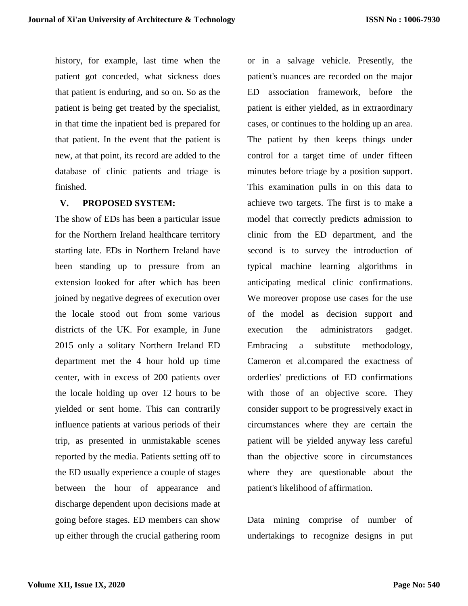history, for example, last time when the patient got conceded, what sickness does that patient is enduring, and so on. So as the patient is being get treated by the specialist, in that time the inpatient bed is prepared for that patient. In the event that the patient is new, at that point, its record are added to the database of clinic patients and triage is finished.

#### **V. PROPOSED SYSTEM:**

The show of EDs has been a particular issue for the Northern Ireland healthcare territory starting late. EDs in Northern Ireland have been standing up to pressure from an extension looked for after which has been joined by negative degrees of execution over the locale stood out from some various districts of the UK. For example, in June 2015 only a solitary Northern Ireland ED department met the 4 hour hold up time center, with in excess of 200 patients over the locale holding up over 12 hours to be yielded or sent home. This can contrarily influence patients at various periods of their trip, as presented in unmistakable scenes reported by the media. Patients setting off to the ED usually experience a couple of stages between the hour of appearance and discharge dependent upon decisions made at going before stages. ED members can show up either through the crucial gathering room

or in a salvage vehicle. Presently, the patient's nuances are recorded on the major ED association framework, before the patient is either yielded, as in extraordinary cases, or continues to the holding up an area. The patient by then keeps things under control for a target time of under fifteen minutes before triage by a position support. This examination pulls in on this data to achieve two targets. The first is to make a model that correctly predicts admission to clinic from the ED department, and the second is to survey the introduction of typical machine learning algorithms in anticipating medical clinic confirmations. We moreover propose use cases for the use of the model as decision support and execution the administrators gadget. Embracing a substitute methodology, Cameron et al.compared the exactness of orderlies' predictions of ED confirmations with those of an objective score. They consider support to be progressively exact in circumstances where they are certain the patient will be yielded anyway less careful than the objective score in circumstances where they are questionable about the patient's likelihood of affirmation.

Data mining comprise of number of undertakings to recognize designs in put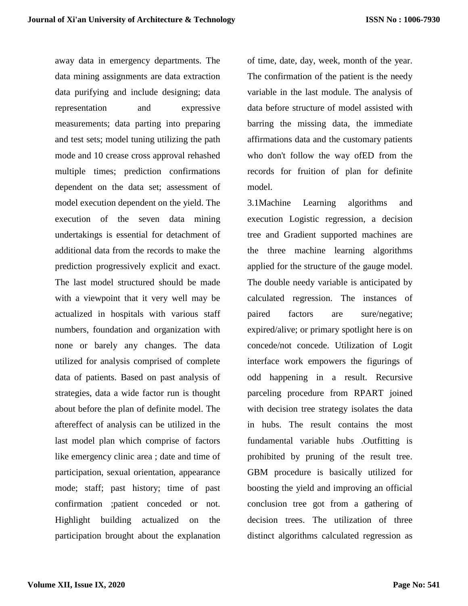away data in emergency departments. The data mining assignments are data extraction data purifying and include designing; data representation and expressive measurements; data parting into preparing and test sets; model tuning utilizing the path mode and 10 crease cross approval rehashed multiple times; prediction confirmations dependent on the data set; assessment of model execution dependent on the yield. The execution of the seven data mining undertakings is essential for detachment of additional data from the records to make the prediction progressively explicit and exact. The last model structured should be made with a viewpoint that it very well may be actualized in hospitals with various staff numbers, foundation and organization with none or barely any changes. The data utilized for analysis comprised of complete data of patients. Based on past analysis of strategies, data a wide factor run is thought about before the plan of definite model. The aftereffect of analysis can be utilized in the last model plan which comprise of factors like emergency clinic area ; date and time of participation, sexual orientation, appearance mode; staff; past history; time of past confirmation ;patient conceded or not. Highlight building actualized on the participation brought about the explanation

of time, date, day, week, month of the year. The confirmation of the patient is the needy variable in the last module. The analysis of data before structure of model assisted with barring the missing data, the immediate affirmations data and the customary patients who don't follow the way ofED from the records for fruition of plan for definite model.

3.1Machine Learning algorithms and execution Logistic regression, a decision tree and Gradient supported machines are the three machine learning algorithms applied for the structure of the gauge model. The double needy variable is anticipated by calculated regression. The instances of paired factors are sure/negative; expired/alive; or primary spotlight here is on concede/not concede. Utilization of Logit interface work empowers the figurings of odd happening in a result. Recursive parceling procedure from RPART joined with decision tree strategy isolates the data in hubs. The result contains the most fundamental variable hubs .Outfitting is prohibited by pruning of the result tree. GBM procedure is basically utilized for boosting the yield and improving an official conclusion tree got from a gathering of decision trees. The utilization of three distinct algorithms calculated regression as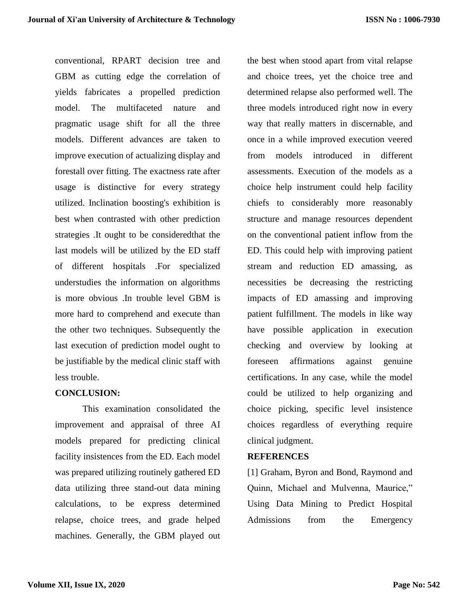conventional, RPART decision tree and GBM as cutting edge the correlation of yields fabricates a propelled prediction model. The multifaceted nature and pragmatic usage shift for all the three models. Different advances are taken to improve execution of actualizing display and forestall over fitting. The exactness rate after usage is distinctive for every strategy utilized. Inclination boosting's exhibition is best when contrasted with other prediction strategies .It ought to be consideredthat the last models will be utilized by the ED staff of different hospitals .For specialized understudies the information on algorithms is more obvious .In trouble level GBM is more hard to comprehend and execute than the other two techniques. Subsequently the last execution of prediction model ought to be justifiable by the medical clinic staff with less trouble.

# **CONCLUSION:**

This examination consolidated the improvement and appraisal of three AI models prepared for predicting clinical facility insistences from the ED. Each model was prepared utilizing routinely gathered ED data utilizing three stand-out data mining calculations, to be express determined relapse, choice trees, and grade helped machines. Generally, the GBM played out

the best when stood apart from vital relapse and choice trees, yet the choice tree and determined relapse also performed well. The three models introduced right now in every way that really matters in discernable, and once in a while improved execution veered from models introduced in different assessments. Execution of the models as a choice help instrument could help facility chiefs to considerably more reasonably structure and manage resources dependent on the conventional patient inflow from the ED. This could help with improving patient stream and reduction ED amassing, as necessities be decreasing the restricting impacts of ED amassing and improving patient fulfillment. The models in like way have possible application in execution checking and overview by looking at foreseen affirmations against genuine certifications. In any case, while the model could be utilized to help organizing and choice picking, specific level insistence choices regardless of everything require clinical judgment.

#### **REFERENCES**

[1] Graham, Byron and Bond, Raymond and Quinn, Michael and Mulvenna, Maurice," Using Data Mining to Predict Hospital Admissions from the Emergency